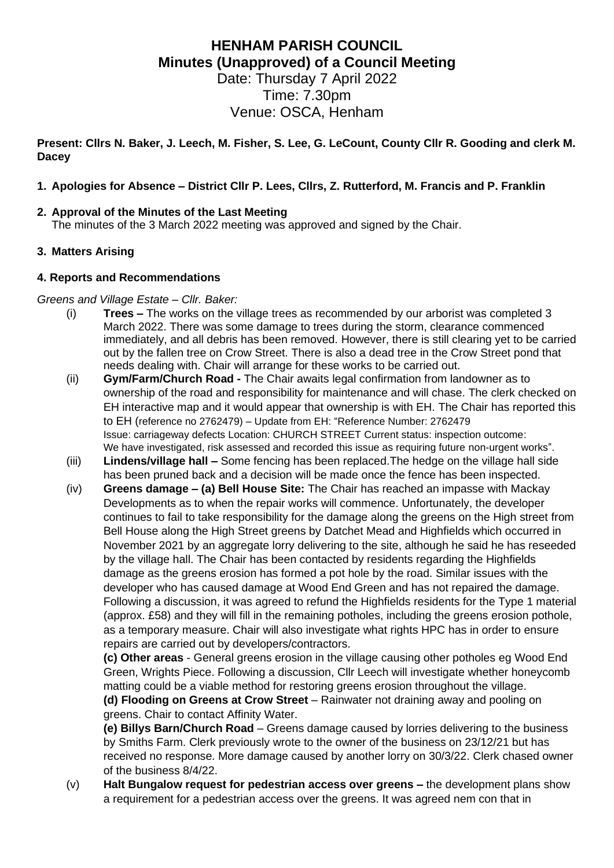# **HENHAM PARISH COUNCIL Minutes (Unapproved) of a Council Meeting**

Date: Thursday 7 April 2022 Time: 7.30pm Venue: OSCA, Henham

**Present: Cllrs N. Baker, J. Leech, M. Fisher, S. Lee, G. LeCount, County Cllr R. Gooding and clerk M. Dacey**

#### **1. Apologies for Absence – District Cllr P. Lees, Cllrs, Z. Rutterford, M. Francis and P. Franklin**

#### **2. Approval of the Minutes of the Last Meeting**

The minutes of the 3 March 2022 meeting was approved and signed by the Chair.

#### **3. Matters Arising**

#### **4. Reports and Recommendations**

#### *Greens and Village Estate – Cllr. Baker:*

- (i) **Trees –** The works on the village trees as recommended by our arborist was completed 3 March 2022. There was some damage to trees during the storm, clearance commenced immediately, and all debris has been removed. However, there is still clearing yet to be carried out by the fallen tree on Crow Street. There is also a dead tree in the Crow Street pond that needs dealing with. Chair will arrange for these works to be carried out.
- (ii) **Gym/Farm/Church Road -** The Chair awaits legal confirmation from landowner as to ownership of the road and responsibility for maintenance and will chase. The clerk checked on EH interactive map and it would appear that ownership is with EH. The Chair has reported this to EH (reference no 2762479) – Update from EH: "Reference Number: 2762479 Issue: carriageway defects Location: CHURCH STREET Current status: inspection outcome: We have investigated, risk assessed and recorded this issue as requiring future non-urgent works".
- (iii) **Lindens/village hall –** Some fencing has been replaced.The hedge on the village hall side has been pruned back and a decision will be made once the fence has been inspected.
- (iv) **Greens damage – (a) Bell House Site:** The Chair has reached an impasse with Mackay Developments as to when the repair works will commence. Unfortunately, the developer continues to fail to take responsibility for the damage along the greens on the High street from Bell House along the High Street greens by Datchet Mead and Highfields which occurred in November 2021 by an aggregate lorry delivering to the site, although he said he has reseeded by the village hall. The Chair has been contacted by residents regarding the Highfields damage as the greens erosion has formed a pot hole by the road. Similar issues with the developer who has caused damage at Wood End Green and has not repaired the damage. Following a discussion, it was agreed to refund the Highfields residents for the Type 1 material (approx. £58) and they will fill in the remaining potholes, including the greens erosion pothole, as a temporary measure. Chair will also investigate what rights HPC has in order to ensure repairs are carried out by developers/contractors.

**(c) Other areas** - General greens erosion in the village causing other potholes eg Wood End Green, Wrights Piece. Following a discussion, Cllr Leech will investigate whether honeycomb matting could be a viable method for restoring greens erosion throughout the village. **(d) Flooding on Greens at Crow Street** – Rainwater not draining away and pooling on greens. Chair to contact Affinity Water.

**(e) Billys Barn/Church Road** – Greens damage caused by lorries delivering to the business by Smiths Farm. Clerk previously wrote to the owner of the business on 23/12/21 but has received no response. More damage caused by another lorry on 30/3/22. Clerk chased owner of the business 8/4/22.

(v) **Halt Bungalow request for pedestrian access over greens –** the development plans show a requirement for a pedestrian access over the greens. It was agreed nem con that in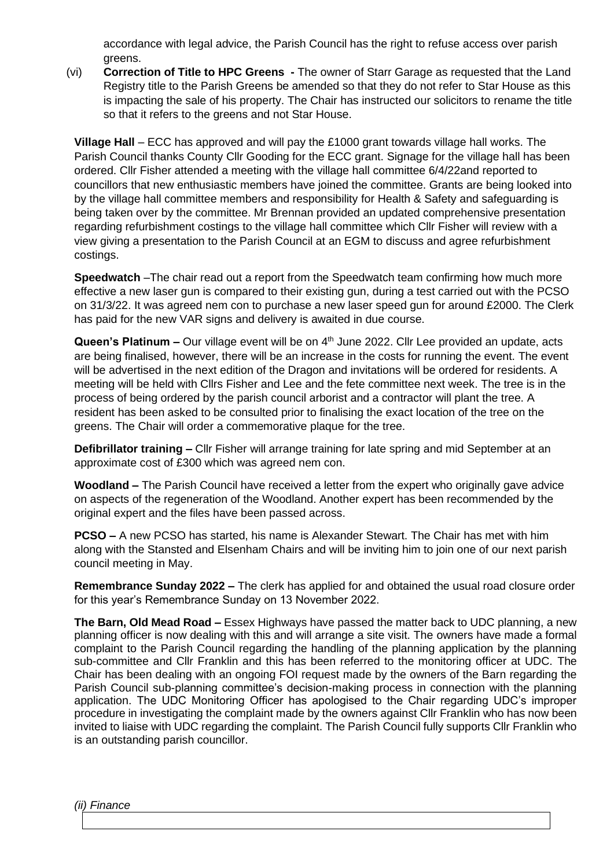accordance with legal advice, the Parish Council has the right to refuse access over parish greens.

(vi) **Correction of Title to HPC Greens -** The owner of Starr Garage as requested that the Land Registry title to the Parish Greens be amended so that they do not refer to Star House as this is impacting the sale of his property. The Chair has instructed our solicitors to rename the title so that it refers to the greens and not Star House.

**Village Hall** – ECC has approved and will pay the £1000 grant towards village hall works. The Parish Council thanks County Cllr Gooding for the ECC grant. Signage for the village hall has been ordered. Cllr Fisher attended a meeting with the village hall committee 6/4/22and reported to councillors that new enthusiastic members have joined the committee. Grants are being looked into by the village hall committee members and responsibility for Health & Safety and safeguarding is being taken over by the committee. Mr Brennan provided an updated comprehensive presentation regarding refurbishment costings to the village hall committee which Cllr Fisher will review with a view giving a presentation to the Parish Council at an EGM to discuss and agree refurbishment costings.

**Speedwatch** –The chair read out a report from the Speedwatch team confirming how much more effective a new laser gun is compared to their existing gun, during a test carried out with the PCSO on 31/3/22. It was agreed nem con to purchase a new laser speed gun for around £2000. The Clerk has paid for the new VAR signs and delivery is awaited in due course.

Queen's Platinum – Our village event will be on 4<sup>th</sup> June 2022. Cllr Lee provided an update, acts are being finalised, however, there will be an increase in the costs for running the event. The event will be advertised in the next edition of the Dragon and invitations will be ordered for residents. A meeting will be held with Cllrs Fisher and Lee and the fete committee next week. The tree is in the process of being ordered by the parish council arborist and a contractor will plant the tree. A resident has been asked to be consulted prior to finalising the exact location of the tree on the greens. The Chair will order a commemorative plaque for the tree.

**Defibrillator training –** Cllr Fisher will arrange training for late spring and mid September at an approximate cost of £300 which was agreed nem con.

**Woodland –** The Parish Council have received a letter from the expert who originally gave advice on aspects of the regeneration of the Woodland. Another expert has been recommended by the original expert and the files have been passed across.

**PCSO –** A new PCSO has started, his name is Alexander Stewart. The Chair has met with him along with the Stansted and Elsenham Chairs and will be inviting him to join one of our next parish council meeting in May.

**Remembrance Sunday 2022 –** The clerk has applied for and obtained the usual road closure order for this year's Remembrance Sunday on 13 November 2022.

**The Barn, Old Mead Road –** Essex Highways have passed the matter back to UDC planning, a new planning officer is now dealing with this and will arrange a site visit. The owners have made a formal complaint to the Parish Council regarding the handling of the planning application by the planning sub-committee and Cllr Franklin and this has been referred to the monitoring officer at UDC. The Chair has been dealing with an ongoing FOI request made by the owners of the Barn regarding the Parish Council sub-planning committee's decision-making process in connection with the planning application. The UDC Monitoring Officer has apologised to the Chair regarding UDC's improper procedure in investigating the complaint made by the owners against Cllr Franklin who has now been invited to liaise with UDC regarding the complaint. The Parish Council fully supports Cllr Franklin who is an outstanding parish councillor.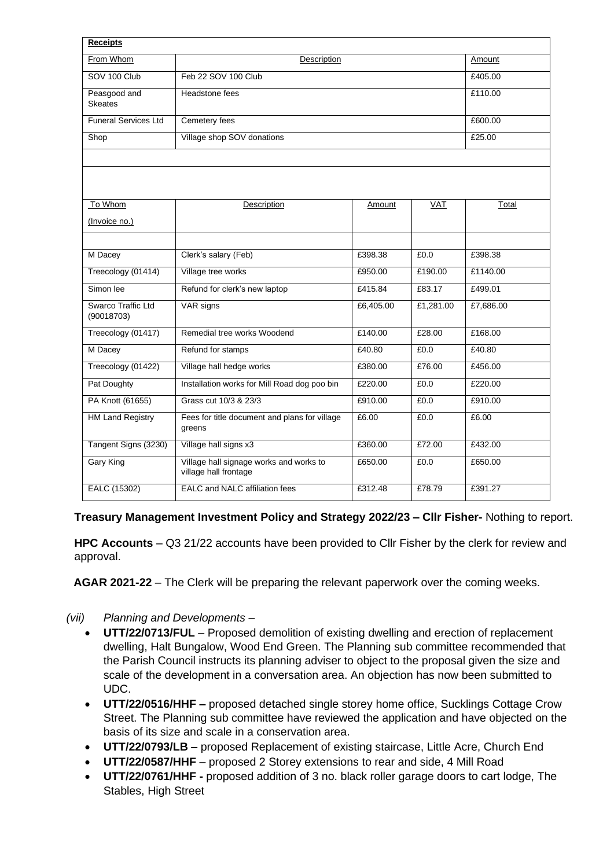| <b>Receipts</b>                  |                                                                  |           |            |           |
|----------------------------------|------------------------------------------------------------------|-----------|------------|-----------|
| From Whom                        | Description                                                      |           |            | Amount    |
| SOV 100 Club                     | Feb 22 SOV 100 Club                                              |           |            | £405.00   |
| Peasgood and<br><b>Skeates</b>   | Headstone fees                                                   |           |            | £110.00   |
| <b>Funeral Services Ltd</b>      | Cemetery fees                                                    |           |            | £600.00   |
| Shop                             | Village shop SOV donations                                       |           |            | £25.00    |
|                                  |                                                                  |           |            |           |
|                                  |                                                                  |           |            |           |
| To Whom                          | Description                                                      | Amount    | <b>VAT</b> | Total     |
| (Invoice no.)                    |                                                                  |           |            |           |
|                                  |                                                                  |           |            |           |
| M Dacey                          | Clerk's salary (Feb)                                             | £398.38   | £0.0       | £398.38   |
| Treecology (01414)               | Village tree works                                               | £950.00   | £190.00    | £1140.00  |
| Simon lee                        | Refund for clerk's new laptop                                    | £415.84   | £83.17     | £499.01   |
| Swarco Traffic Ltd<br>(90018703) | VAR signs                                                        | £6,405.00 | £1,281.00  | £7,686.00 |
| Treecology (01417)               | Remedial tree works Woodend                                      | £140.00   | £28.00     | £168.00   |
| M Dacey                          | Refund for stamps                                                | £40.80    | £0.0       | £40.80    |
| Treecology (01422)               | Village hall hedge works                                         | £380.00   | £76.00     | £456.00   |
| Pat Doughty                      | Installation works for Mill Road dog poo bin                     | £220.00   | £0.0       | £220.00   |
| PA Knott (61655)                 | Grass cut 10/3 & 23/3                                            | £910.00   | £0.0       | £910.00   |
| <b>HM Land Registry</b>          | Fees for title document and plans for village<br>greens          | £6.00     | £0.0       | £6.00     |
| Tangent Signs (3230)             | Village hall signs x3                                            | £360.00   | £72.00     | £432.00   |
| Gary King                        | Village hall signage works and works to<br>village hall frontage | £650.00   | £0.0       | £650.00   |
| EALC (15302)                     | EALC and NALC affiliation fees                                   | £312.48   | £78.79     | £391.27   |

**Treasury Management Investment Policy and Strategy 2022/23 – Cllr Fisher-** Nothing to report.

**HPC Accounts** – Q3 21/22 accounts have been provided to Cllr Fisher by the clerk for review and approval.

**AGAR 2021-22** – The Clerk will be preparing the relevant paperwork over the coming weeks.

## *(vii) Planning and Developments –*

- **UTT/22/0713/FUL** Proposed demolition of existing dwelling and erection of replacement dwelling, Halt Bungalow, Wood End Green. The Planning sub committee recommended that the Parish Council instructs its planning adviser to object to the proposal given the size and scale of the development in a conversation area. An objection has now been submitted to UDC.
- **UTT/22/0516/HHF –** proposed detached single storey home office, Sucklings Cottage Crow Street. The Planning sub committee have reviewed the application and have objected on the basis of its size and scale in a conservation area.
- **UTT/22/0793/LB –** proposed Replacement of existing staircase, Little Acre, Church End
- **UTT/22/0587/HHF** proposed 2 Storey extensions to rear and side, 4 Mill Road
- **UTT/22/0761/HHF -** proposed addition of 3 no. black roller garage doors to cart lodge, The Stables, High Street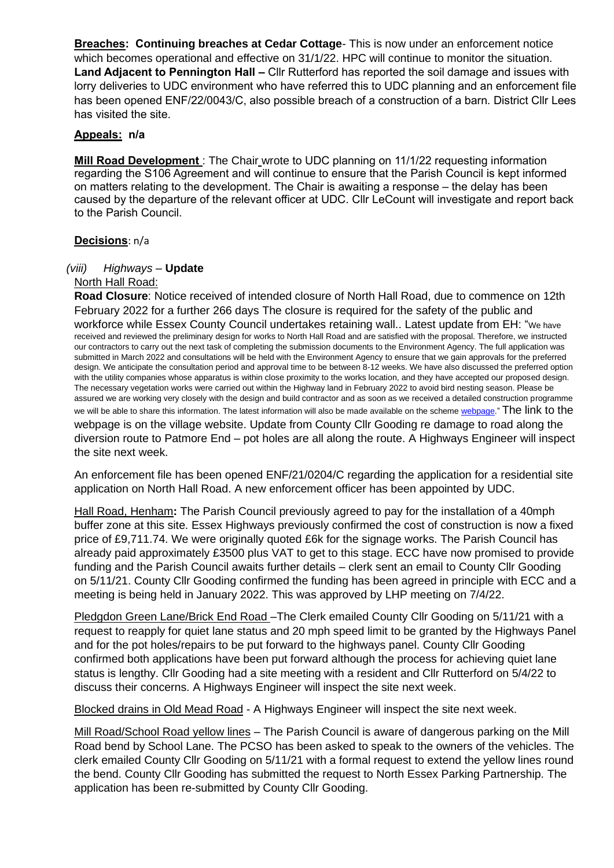**Breaches: Continuing breaches at Cedar Cottage**- This is now under an enforcement notice which becomes operational and effective on 31/1/22. HPC will continue to monitor the situation. **Land Adjacent to Pennington Hall –** Cllr Rutterford has reported the soil damage and issues with lorry deliveries to UDC environment who have referred this to UDC planning and an enforcement file has been opened ENF/22/0043/C, also possible breach of a construction of a barn. District Cllr Lees has visited the site.

#### **Appeals: n/a**

**Mill Road Development**: The Chair wrote to UDC planning on 11/1/22 requesting information regarding the S106 Agreement and will continue to ensure that the Parish Council is kept informed on matters relating to the development. The Chair is awaiting a response – the delay has been caused by the departure of the relevant officer at UDC. Cllr LeCount will investigate and report back to the Parish Council.

#### **Decisions**: n/a

## *(viii) Highways –* **Update**

#### North Hall Road:

**Road Closure**: Notice received of intended closure of North Hall Road, due to commence on 12th February 2022 for a further 266 days The closure is required for the safety of the public and workforce while Essex County Council undertakes retaining wall.. Latest update from EH: "We have received and reviewed the preliminary design for works to North Hall Road and are satisfied with the proposal. Therefore, we instructed our contractors to carry out the next task of completing the submission documents to the Environment Agency. The full application was submitted in March 2022 and consultations will be held with the Environment Agency to ensure that we gain approvals for the preferred design. We anticipate the consultation period and approval time to be between 8-12 weeks. We have also discussed the preferred option with the utility companies whose apparatus is within close proximity to the works location, and they have accepted our proposed design. The necessary vegetation works were carried out within the Highway land in February 2022 to avoid bird nesting season. Please be assured we are working very closely with the design and build contractor and as soon as we received a detailed construction programme we will be able to share this information. The latest information will also be made available on the scheme [webpage.](https://www.essexhighways.org/north-hall-road-little-henham)" The link to the webpage is on the village website. Update from County Cllr Gooding re damage to road along the diversion route to Patmore End – pot holes are all along the route. A Highways Engineer will inspect the site next week.

An enforcement file has been opened ENF/21/0204/C regarding the application for a residential site application on North Hall Road. A new enforcement officer has been appointed by UDC.

Hall Road, Henham**:** The Parish Council previously agreed to pay for the installation of a 40mph buffer zone at this site. Essex Highways previously confirmed the cost of construction is now a fixed price of £9,711.74. We were originally quoted £6k for the signage works. The Parish Council has already paid approximately £3500 plus VAT to get to this stage. ECC have now promised to provide funding and the Parish Council awaits further details – clerk sent an email to County Cllr Gooding on 5/11/21. County Cllr Gooding confirmed the funding has been agreed in principle with ECC and a meeting is being held in January 2022. This was approved by LHP meeting on 7/4/22.

Pledgdon Green Lane/Brick End Road –The Clerk emailed County Cllr Gooding on 5/11/21 with a request to reapply for quiet lane status and 20 mph speed limit to be granted by the Highways Panel and for the pot holes/repairs to be put forward to the highways panel. County Cllr Gooding confirmed both applications have been put forward although the process for achieving quiet lane status is lengthy. Cllr Gooding had a site meeting with a resident and Cllr Rutterford on 5/4/22 to discuss their concerns. A Highways Engineer will inspect the site next week.

Blocked drains in Old Mead Road - A Highways Engineer will inspect the site next week.

Mill Road/School Road yellow lines – The Parish Council is aware of dangerous parking on the Mill Road bend by School Lane. The PCSO has been asked to speak to the owners of the vehicles. The clerk emailed County Cllr Gooding on 5/11/21 with a formal request to extend the yellow lines round the bend. County Cllr Gooding has submitted the request to North Essex Parking Partnership. The application has been re-submitted by County Cllr Gooding.